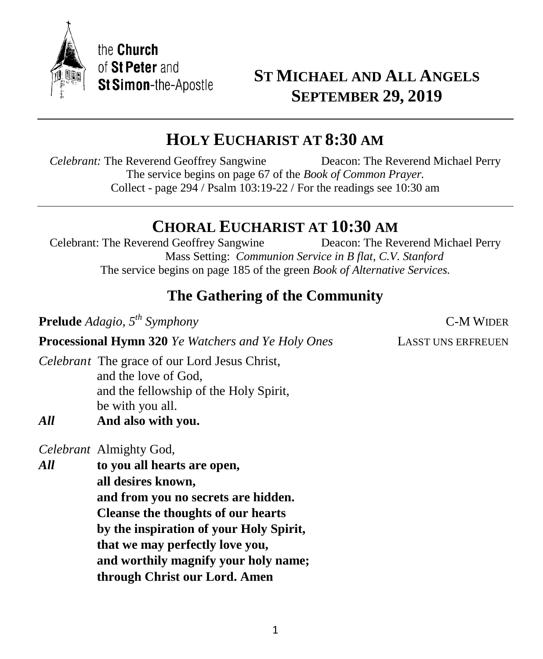

# **ST MICHAEL AND ALL ANGELS SEPTEMBER 29, 2019**

# **HOLY EUCHARIST AT 8:30 AM**

*Celebrant:* The Reverend Geoffrey Sangwine Deacon: The Reverend Michael Perry The service begins on page 67 of the *Book of Common Prayer.* Collect - page 294 / Psalm 103:19-22 / For the readings see 10:30 am

# **CHORAL EUCHARIST AT 10:30 AM**

Celebrant: The Reverend Geoffrey Sangwine Deacon: The Reverend Michael Perry Mass Setting: *Communion Service in B flat, C.V. Stanford* The service begins on page 185 of the green *Book of Alternative Services.*

# **The Gathering of the Community**

**Prelude** *Adagio, 5 th Symphony* C-M WIDER

**Processional Hymn 320** *Ye Watchers and Ye Holy Ones* LASST UNS ERFREUEN

*Celebrant* The grace of our Lord Jesus Christ, and the love of God, and the fellowship of the Holy Spirit, be with you all.

*All* **And also with you.**

*Celebrant* Almighty God,

*All* **to you all hearts are open, all desires known, and from you no secrets are hidden. Cleanse the thoughts of our hearts by the inspiration of your Holy Spirit, that we may perfectly love you, and worthily magnify your holy name; through Christ our Lord. Amen**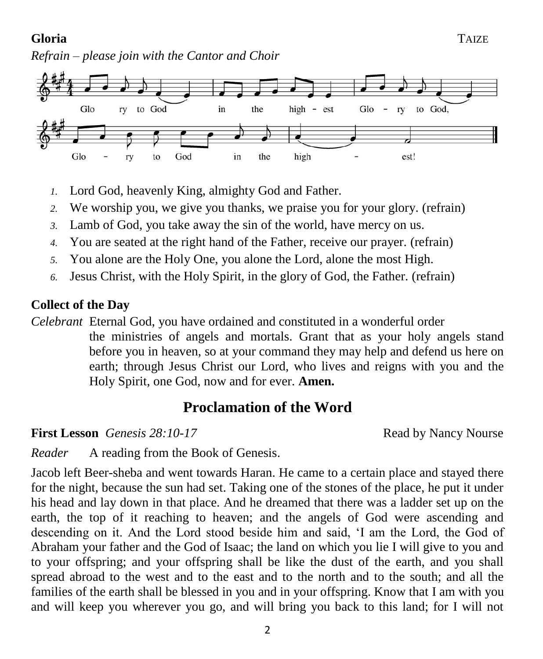## **Gloria** TAIZE

*Refrain – please join with the Cantor and Choir*



- *1.* Lord God, heavenly King, almighty God and Father.
- *2.* We worship you, we give you thanks, we praise you for your glory. (refrain)
- *3.* Lamb of God, you take away the sin of the world, have mercy on us.
- *4.* You are seated at the right hand of the Father, receive our prayer. (refrain)
- *5.* You alone are the Holy One, you alone the Lord, alone the most High.
- *6.* Jesus Christ, with the Holy Spirit, in the glory of God, the Father. (refrain)

## **Collect of the Day**

*Celebrant* Eternal God, you have ordained and constituted in a wonderful order the ministries of angels and mortals. Grant that as your holy angels stand before you in heaven, so at your command they may help and defend us here on earth; through Jesus Christ our Lord, who lives and reigns with you and the Holy Spirit, one God, now and for ever. **Amen.**

# **Proclamation of the Word**

**First Lesson** *Genesis* 28:10-17 *Read by Nancy Nourse* 

*Reader* A reading from the Book of Genesis.

Jacob left Beer-sheba and went towards Haran. He came to a certain place and stayed there for the night, because the sun had set. Taking one of the stones of the place, he put it under his head and lay down in that place. And he dreamed that there was a ladder set up on the earth, the top of it reaching to heaven; and the angels of God were ascending and descending on it. And the Lord stood beside him and said, 'I am the Lord, the God of Abraham your father and the God of Isaac; the land on which you lie I will give to you and to your offspring; and your offspring shall be like the dust of the earth, and you shall spread abroad to the west and to the east and to the north and to the south; and all the families of the earth shall be blessed in you and in your offspring. Know that I am with you and will keep you wherever you go, and will bring you back to this land; for I will not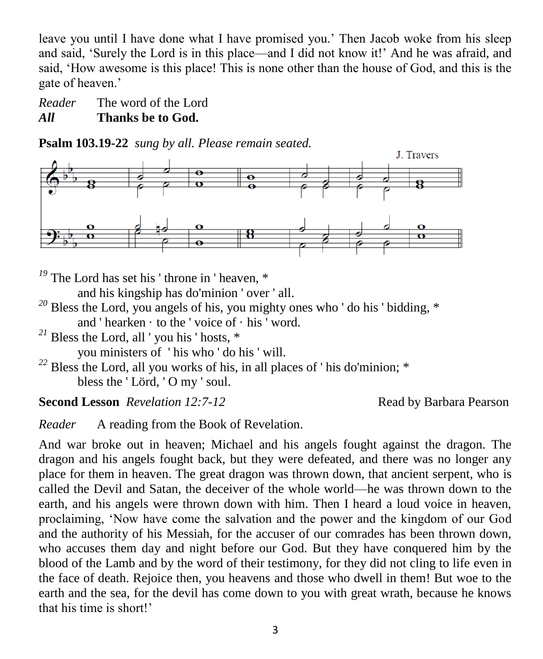leave you until I have done what I have promised you.' Then Jacob woke from his sleep and said, 'Surely the Lord is in this place—and I did not know it!' And he was afraid, and said, 'How awesome is this place! This is none other than the house of God, and this is the gate of heaven.'

*Reader* The word of the Lord *All* **Thanks be to God.**

**Psalm 103.19-22** *sung by all. Please remain seated.*



<sup>19</sup> The Lord has set his 'throne in 'heaven, \*

and his kingship has do'minion ' over ' all.

- <sup>20</sup> Bless the Lord, you angels of his, you mighty ones who ' do his ' bidding, \* and ' hearken  $\cdot$  to the ' voice of  $\cdot$  his ' word.
- <sup>21</sup> Bless the Lord, all ' you his ' hosts,  $*$

you ministers of ' his who ' do his ' will.

*<sup>22</sup>* Bless the Lord, all you works of his, in all places of ' his do'minion; \* bless the ' Lörd, ' O my ' soul.

**Second Lesson** *Revelation 12:7-12* Read by Barbara Pearson

*Reader* A reading from the Book of Revelation.

And war broke out in heaven; Michael and his angels fought against the dragon. The dragon and his angels fought back, but they were defeated, and there was no longer any place for them in heaven. The great dragon was thrown down, that ancient serpent, who is called the Devil and Satan, the deceiver of the whole world—he was thrown down to the earth, and his angels were thrown down with him. Then I heard a loud voice in heaven, proclaiming, 'Now have come the salvation and the power and the kingdom of our God and the authority of his Messiah, for the accuser of our comrades has been thrown down, who accuses them day and night before our God. But they have conquered him by the blood of the Lamb and by the word of their testimony, for they did not cling to life even in the face of death. Rejoice then, you heavens and those who dwell in them! But woe to the earth and the sea, for the devil has come down to you with great wrath, because he knows that his time is short!'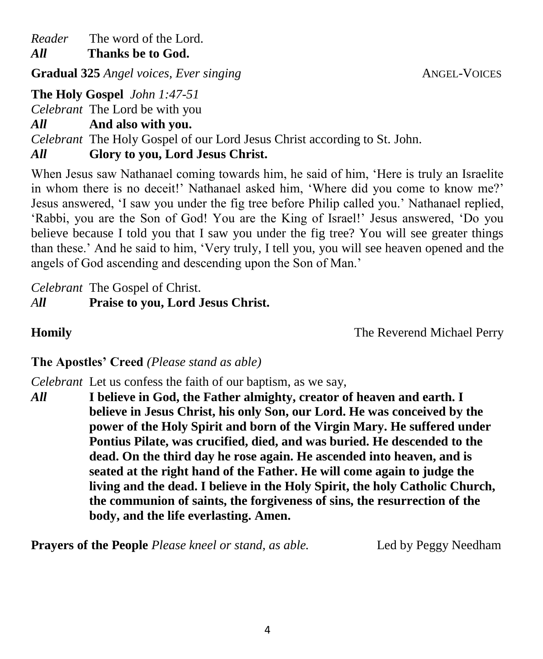*Reader* The word of the Lord.

*All* **Thanks be to God.**

**Gradual 325** *Angel voices, Ever singing* **ANGEL-VOICES ANGEL-VOICES** 

**The Holy Gospel** *John 1:47-51*

*Celebrant* The Lord be with you

*All* **And also with you.**

*Celebrant* The Holy Gospel of our Lord Jesus Christ according to St. John.

*All* **Glory to you, Lord Jesus Christ.**

When Jesus saw Nathanael coming towards him, he said of him, 'Here is truly an Israelite in whom there is no deceit!' Nathanael asked him, 'Where did you come to know me?' Jesus answered, 'I saw you under the fig tree before Philip called you.' Nathanael replied, 'Rabbi, you are the Son of God! You are the King of Israel!' Jesus answered, 'Do you believe because I told you that I saw you under the fig tree? You will see greater things than these.' And he said to him, 'Very truly, I tell you, you will see heaven opened and the angels of God ascending and descending upon the Son of Man.'

*Celebrant* The Gospel of Christ. *All* **Praise to you, Lord Jesus Christ.**

**Homily The Reverend Michael Perry The Reverend Michael Perry** 

**The Apostles' Creed** *(Please stand as able)*

*Celebrant* Let us confess the faith of our baptism, as we say,

*All* **I believe in God, the Father almighty, creator of heaven and earth. I believe in Jesus Christ, his only Son, our Lord. He was conceived by the power of the Holy Spirit and born of the Virgin Mary. He suffered under Pontius Pilate, was crucified, died, and was buried. He descended to the dead. On the third day he rose again. He ascended into heaven, and is seated at the right hand of the Father. He will come again to judge the living and the dead. I believe in the Holy Spirit, the holy Catholic Church, the communion of saints, the forgiveness of sins, the resurrection of the body, and the life everlasting. Amen.**

**Prayers of the People** *Please kneel or stand, as able.* Led by Peggy Needham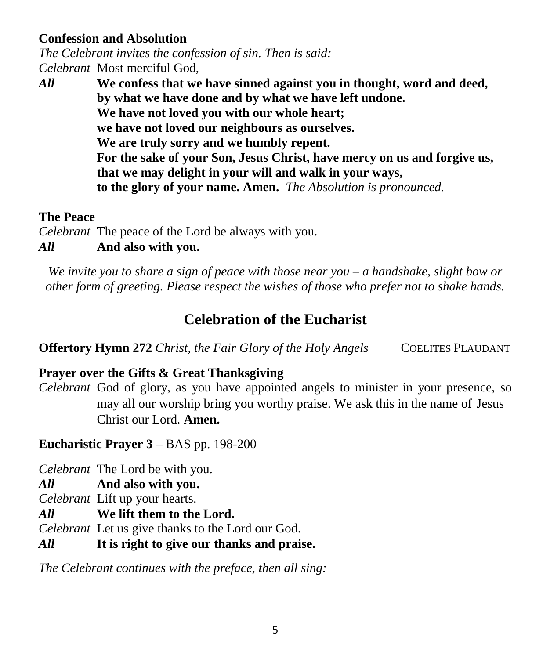#### **Confession and Absolution**

*The Celebrant invites the confession of sin. Then is said: Celebrant* Most merciful God,

*All* **We confess that we have sinned against you in thought, word and deed, by what we have done and by what we have left undone. We have not loved you with our whole heart; we have not loved our neighbours as ourselves. We are truly sorry and we humbly repent. For the sake of your Son, Jesus Christ, have mercy on us and forgive us, that we may delight in your will and walk in your ways, to the glory of your name. Amen.** *The Absolution is pronounced.*

#### **The Peace**

*Celebrant* The peace of the Lord be always with you.

### *All* **And also with you.**

*We invite you to share a sign of peace with those near you – a handshake, slight bow or other form of greeting. Please respect the wishes of those who prefer not to shake hands.*

# **Celebration of the Eucharist**

**Offertory Hymn 272** *Christ, the Fair Glory of the Holy Angels* COELITES PLAUDANT

### **Prayer over the Gifts & Great Thanksgiving**

*Celebrant* God of glory, as you have appointed angels to minister in your presence, so may all our worship bring you worthy praise. We ask this in the name of Jesus Christ our Lord. **Amen.**

**Eucharistic Prayer 3 –** BAS pp. 198-200

*Celebrant* The Lord be with you.

*All* **And also with you.**

*Celebrant* Lift up your hearts.

*All* **We lift them to the Lord.**

*Celebrant* Let us give thanks to the Lord our God.

*All* **It is right to give our thanks and praise.**

*The Celebrant continues with the preface, then all sing:*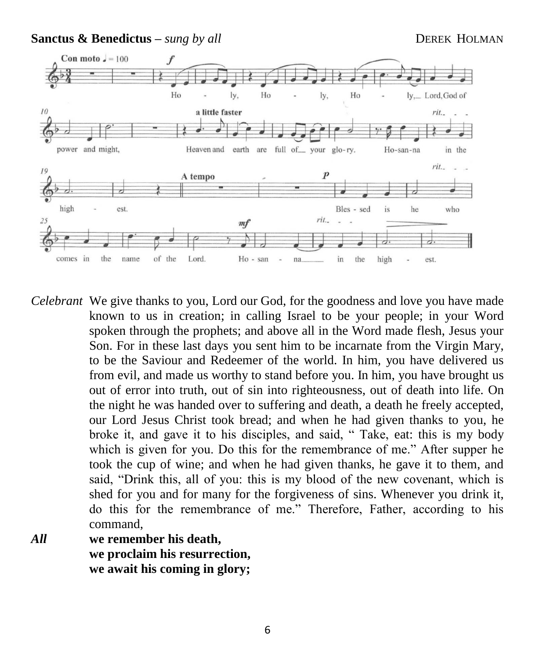**Sanctus & Benedictus** – *sung by all* **DEREK HOLMAN** 



*Celebrant* We give thanks to you, Lord our God, for the goodness and love you have made known to us in creation; in calling Israel to be your people; in your Word spoken through the prophets; and above all in the Word made flesh, Jesus your Son. For in these last days you sent him to be incarnate from the Virgin Mary, to be the Saviour and Redeemer of the world. In him, you have delivered us from evil, and made us worthy to stand before you. In him, you have brought us out of error into truth, out of sin into righteousness, out of death into life. On the night he was handed over to suffering and death, a death he freely accepted, our Lord Jesus Christ took bread; and when he had given thanks to you, he broke it, and gave it to his disciples, and said, " Take, eat: this is my body which is given for you. Do this for the remembrance of me." After supper he took the cup of wine; and when he had given thanks, he gave it to them, and said, "Drink this, all of you: this is my blood of the new covenant, which is shed for you and for many for the forgiveness of sins. Whenever you drink it, do this for the remembrance of me." Therefore, Father, according to his command,

*All* **we remember his death, we proclaim his resurrection, we await his coming in glory;**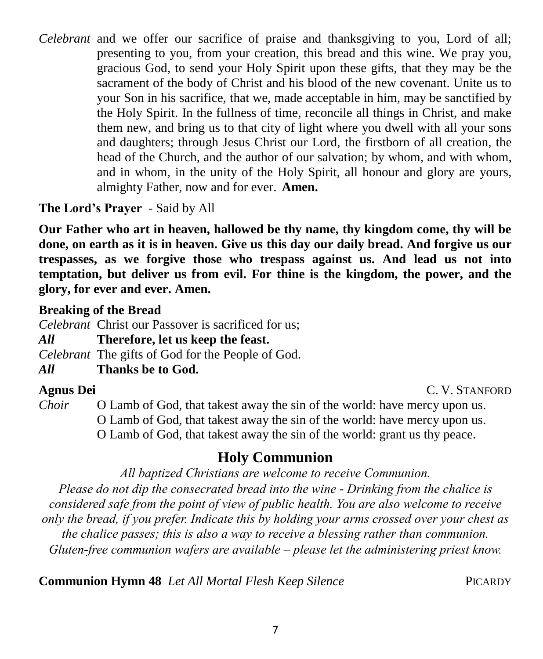*Celebrant* and we offer our sacrifice of praise and thanksgiving to you, Lord of all; presenting to you, from your creation, this bread and this wine. We pray you, gracious God, to send your Holy Spirit upon these gifts, that they may be the sacrament of the body of Christ and his blood of the new covenant. Unite us to your Son in his sacrifice, that we, made acceptable in him, may be sanctified by the Holy Spirit. In the fullness of time, reconcile all things in Christ, and make them new, and bring us to that city of light where you dwell with all your sons and daughters; through Jesus Christ our Lord, the firstborn of all creation, the head of the Church, and the author of our salvation; by whom, and with whom, and in whom, in the unity of the Holy Spirit, all honour and glory are yours, almighty Father, now and for ever.**Amen.**

**The Lord's Prayer** - Said by All

**Our Father who art in heaven, hallowed be thy name, thy kingdom come, thy will be done, on earth as it is in heaven. Give us this day our daily bread. And forgive us our trespasses, as we forgive those who trespass against us. And lead us not into temptation, but deliver us from evil. For thine is the kingdom, the power, and the glory, for ever and ever. Amen.**

## **Breaking of the Bread**

*Celebrant* Christ our Passover is sacrificed for us;

### *All* **Therefore, let us keep the feast.**

*Celebrant* The gifts of God for the People of God.

## *All* **Thanks be to God.**

**Agnus Dei** C. V. STANFORD

*Choir* O Lamb of God, that takest away the sin of the world: have mercy upon us. O Lamb of God, that takest away the sin of the world: have mercy upon us. O Lamb of God, that takest away the sin of the world: grant us thy peace.

# **Holy Communion**

*All baptized Christians are welcome to receive Communion.*

*Please do not dip the consecrated bread into the wine - Drinking from the chalice is considered safe from the point of view of public health. You are also welcome to receive only the bread, if you prefer. Indicate this by holding your arms crossed over your chest as the chalice passes; this is also a way to receive a blessing rather than communion. Gluten-free communion wafers are available – please let the administering priest know.*

**Communion Hymn 48** *Let All Mortal Flesh Keep Silence* PICARDY